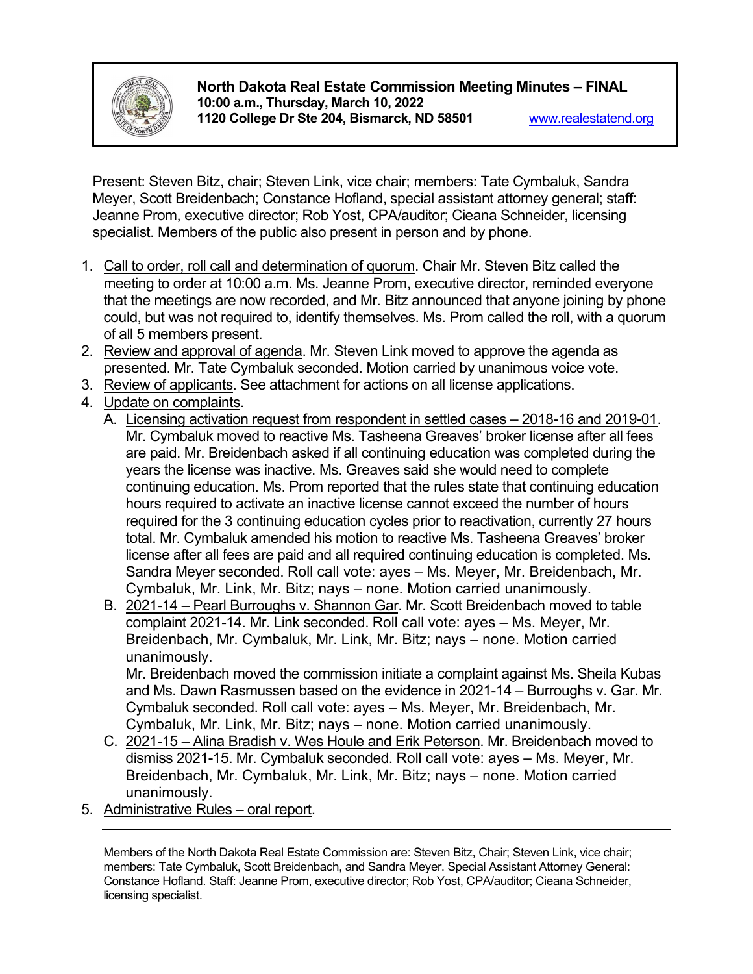

**North Dakota Real Estate Commission Meeting Minutes – FINAL 10:00 a.m., Thursday, March 10, 2022 1120 College Dr Ste 204, Bismarck, ND 58501** [www.realestatend.org](http://www.realestatend.org/)

Present: Steven Bitz, chair; Steven Link, vice chair; members: Tate Cymbaluk, Sandra Meyer, Scott Breidenbach; Constance Hofland, special assistant attorney general; staff: Jeanne Prom, executive director; Rob Yost, CPA/auditor; Cieana Schneider, licensing specialist. Members of the public also present in person and by phone.

- 1. Call to order, roll call and determination of quorum. Chair Mr. Steven Bitz called the meeting to order at 10:00 a.m. Ms. Jeanne Prom, executive director, reminded everyone that the meetings are now recorded, and Mr. Bitz announced that anyone joining by phone could, but was not required to, identify themselves. Ms. Prom called the roll, with a quorum of all 5 members present.
- 2. Review and approval of agenda. Mr. Steven Link moved to approve the agenda as presented. Mr. Tate Cymbaluk seconded. Motion carried by unanimous voice vote.
- 3. Review of applicants. See attachment for actions on all license applications.
- 4. Update on complaints.
	- A. Licensing activation request from respondent in settled cases 2018-16 and 2019-01. Mr. Cymbaluk moved to reactive Ms. Tasheena Greaves' broker license after all fees are paid. Mr. Breidenbach asked if all continuing education was completed during the years the license was inactive. Ms. Greaves said she would need to complete continuing education. Ms. Prom reported that the rules state that continuing education hours required to activate an inactive license cannot exceed the number of hours required for the 3 continuing education cycles prior to reactivation, currently 27 hours total. Mr. Cymbaluk amended his motion to reactive Ms. Tasheena Greaves' broker license after all fees are paid and all required continuing education is completed. Ms. Sandra Meyer seconded. Roll call vote: ayes – Ms. Meyer, Mr. Breidenbach, Mr. Cymbaluk, Mr. Link, Mr. Bitz; nays – none. Motion carried unanimously.
	- B. 2021-14 Pearl Burroughs v. Shannon Gar. Mr. Scott Breidenbach moved to table complaint 2021-14. Mr. Link seconded. Roll call vote: ayes – Ms. Meyer, Mr. Breidenbach, Mr. Cymbaluk, Mr. Link, Mr. Bitz; nays – none. Motion carried unanimously.

Mr. Breidenbach moved the commission initiate a complaint against Ms. Sheila Kubas and Ms. Dawn Rasmussen based on the evidence in 2021-14 – Burroughs v. Gar. Mr. Cymbaluk seconded. Roll call vote: ayes – Ms. Meyer, Mr. Breidenbach, Mr. Cymbaluk, Mr. Link, Mr. Bitz; nays – none. Motion carried unanimously.

- C. 2021-15 Alina Bradish v. Wes Houle and Erik Peterson. Mr. Breidenbach moved to dismiss 2021-15. Mr. Cymbaluk seconded. Roll call vote: ayes – Ms. Meyer, Mr. Breidenbach, Mr. Cymbaluk, Mr. Link, Mr. Bitz; nays – none. Motion carried unanimously.
- 5. Administrative Rules oral report.

Members of the North Dakota Real Estate Commission are: Steven Bitz, Chair; Steven Link, vice chair; members: Tate Cymbaluk, Scott Breidenbach, and Sandra Meyer. Special Assistant Attorney General: Constance Hofland. Staff: Jeanne Prom, executive director; Rob Yost, CPA/auditor; Cieana Schneider, licensing specialist.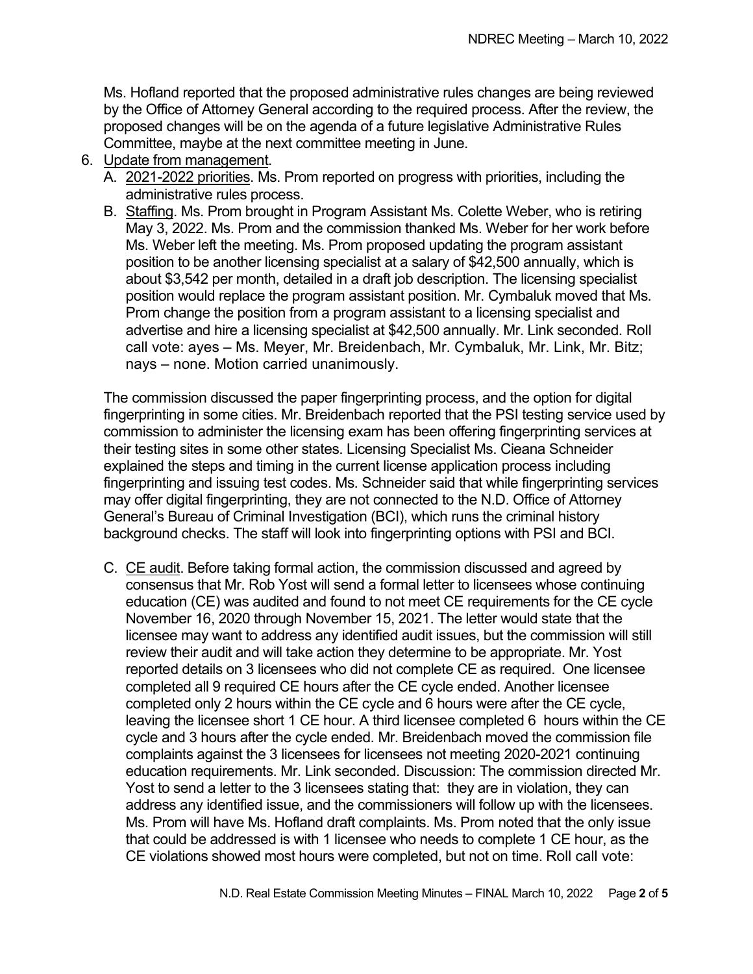Ms. Hofland reported that the proposed administrative rules changes are being reviewed by the Office of Attorney General according to the required process. After the review, the proposed changes will be on the agenda of a future legislative Administrative Rules Committee, maybe at the next committee meeting in June.

- 6. Update from management.
	- A. 2021-2022 priorities. Ms. Prom reported on progress with priorities, including the administrative rules process.
	- B. Staffing. Ms. Prom brought in Program Assistant Ms. Colette Weber, who is retiring May 3, 2022. Ms. Prom and the commission thanked Ms. Weber for her work before Ms. Weber left the meeting. Ms. Prom proposed updating the program assistant position to be another licensing specialist at a salary of \$42,500 annually, which is about \$3,542 per month, detailed in a draft job description. The licensing specialist position would replace the program assistant position. Mr. Cymbaluk moved that Ms. Prom change the position from a program assistant to a licensing specialist and advertise and hire a licensing specialist at \$42,500 annually. Mr. Link seconded. Roll call vote: ayes – Ms. Meyer, Mr. Breidenbach, Mr. Cymbaluk, Mr. Link, Mr. Bitz; nays – none. Motion carried unanimously.

The commission discussed the paper fingerprinting process, and the option for digital fingerprinting in some cities. Mr. Breidenbach reported that the PSI testing service used by commission to administer the licensing exam has been offering fingerprinting services at their testing sites in some other states. Licensing Specialist Ms. Cieana Schneider explained the steps and timing in the current license application process including fingerprinting and issuing test codes. Ms. Schneider said that while fingerprinting services may offer digital fingerprinting, they are not connected to the N.D. Office of Attorney General's Bureau of Criminal Investigation (BCI), which runs the criminal history background checks. The staff will look into fingerprinting options with PSI and BCI.

C. CE audit. Before taking formal action, the commission discussed and agreed by consensus that Mr. Rob Yost will send a formal letter to licensees whose continuing education (CE) was audited and found to not meet CE requirements for the CE cycle November 16, 2020 through November 15, 2021. The letter would state that the licensee may want to address any identified audit issues, but the commission will still review their audit and will take action they determine to be appropriate. Mr. Yost reported details on 3 licensees who did not complete CE as required. One licensee completed all 9 required CE hours after the CE cycle ended. Another licensee completed only 2 hours within the CE cycle and 6 hours were after the CE cycle, leaving the licensee short 1 CE hour. A third licensee completed 6 hours within the CE cycle and 3 hours after the cycle ended. Mr. Breidenbach moved the commission file complaints against the 3 licensees for licensees not meeting 2020-2021 continuing education requirements. Mr. Link seconded. Discussion: The commission directed Mr. Yost to send a letter to the 3 licensees stating that: they are in violation, they can address any identified issue, and the commissioners will follow up with the licensees. Ms. Prom will have Ms. Hofland draft complaints. Ms. Prom noted that the only issue that could be addressed is with 1 licensee who needs to complete 1 CE hour, as the CE violations showed most hours were completed, but not on time. Roll call vote: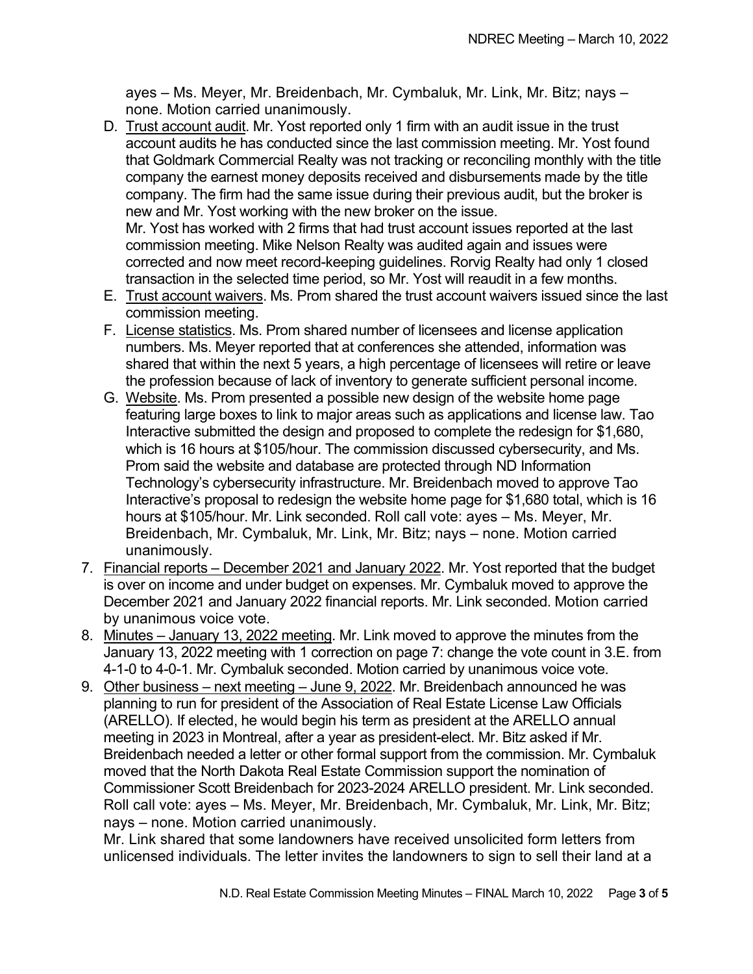ayes – Ms. Meyer, Mr. Breidenbach, Mr. Cymbaluk, Mr. Link, Mr. Bitz; nays – none. Motion carried unanimously.

D. Trust account audit. Mr. Yost reported only 1 firm with an audit issue in the trust account audits he has conducted since the last commission meeting. Mr. Yost found that Goldmark Commercial Realty was not tracking or reconciling monthly with the title company the earnest money deposits received and disbursements made by the title company. The firm had the same issue during their previous audit, but the broker is new and Mr. Yost working with the new broker on the issue.

Mr. Yost has worked with 2 firms that had trust account issues reported at the last commission meeting. Mike Nelson Realty was audited again and issues were corrected and now meet record-keeping guidelines. Rorvig Realty had only 1 closed transaction in the selected time period, so Mr. Yost will reaudit in a few months.

- E. Trust account waivers. Ms. Prom shared the trust account waivers issued since the last commission meeting.
- F. License statistics. Ms. Prom shared number of licensees and license application numbers. Ms. Meyer reported that at conferences she attended, information was shared that within the next 5 years, a high percentage of licensees will retire or leave the profession because of lack of inventory to generate sufficient personal income.
- G. Website. Ms. Prom presented a possible new design of the website home page featuring large boxes to link to major areas such as applications and license law. Tao Interactive submitted the design and proposed to complete the redesign for \$1,680, which is 16 hours at \$105/hour. The commission discussed cybersecurity, and Ms. Prom said the website and database are protected through ND Information Technology's cybersecurity infrastructure. Mr. Breidenbach moved to approve Tao Interactive's proposal to redesign the website home page for \$1,680 total, which is 16 hours at \$105/hour. Mr. Link seconded. Roll call vote: ayes – Ms. Meyer, Mr. Breidenbach, Mr. Cymbaluk, Mr. Link, Mr. Bitz; nays – none. Motion carried unanimously.
- 7. Financial reports December 2021 and January 2022. Mr. Yost reported that the budget is over on income and under budget on expenses. Mr. Cymbaluk moved to approve the December 2021 and January 2022 financial reports. Mr. Link seconded. Motion carried by unanimous voice vote.
- 8. Minutes January 13, 2022 meeting. Mr. Link moved to approve the minutes from the January 13, 2022 meeting with 1 correction on page 7: change the vote count in 3.E. from 4-1-0 to 4-0-1. Mr. Cymbaluk seconded. Motion carried by unanimous voice vote.
- 9. Other business next meeting June 9, 2022. Mr. Breidenbach announced he was planning to run for president of the Association of Real Estate License Law Officials (ARELLO). If elected, he would begin his term as president at the ARELLO annual meeting in 2023 in Montreal, after a year as president-elect. Mr. Bitz asked if Mr. Breidenbach needed a letter or other formal support from the commission. Mr. Cymbaluk moved that the North Dakota Real Estate Commission support the nomination of Commissioner Scott Breidenbach for 2023-2024 ARELLO president. Mr. Link seconded. Roll call vote: ayes – Ms. Meyer, Mr. Breidenbach, Mr. Cymbaluk, Mr. Link, Mr. Bitz; nays – none. Motion carried unanimously.

Mr. Link shared that some landowners have received unsolicited form letters from unlicensed individuals. The letter invites the landowners to sign to sell their land at a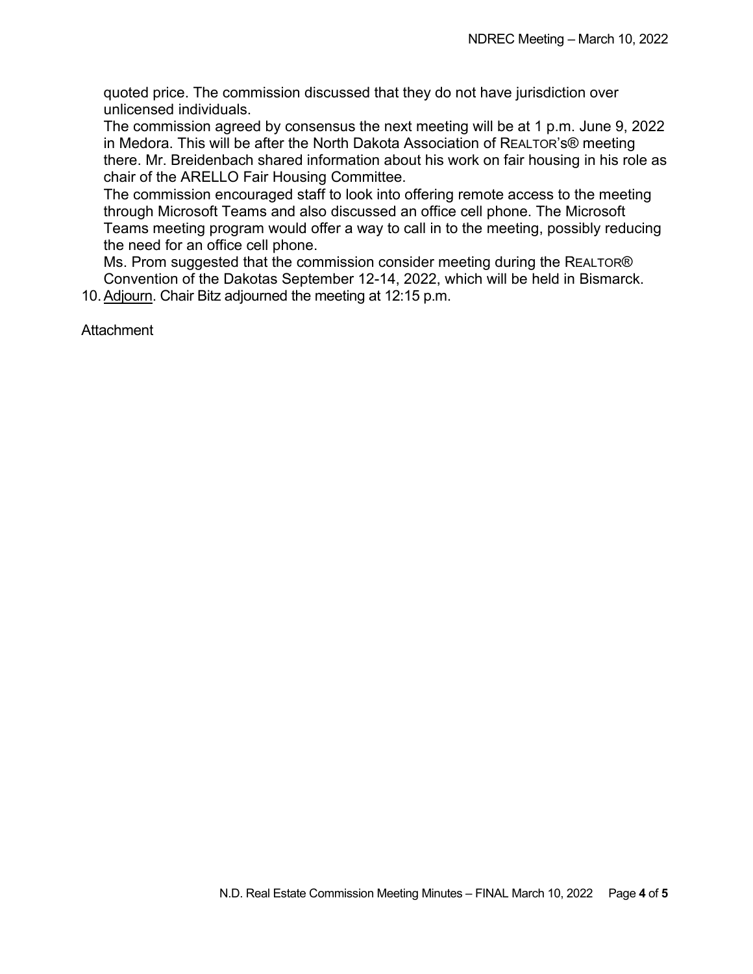quoted price. The commission discussed that they do not have jurisdiction over unlicensed individuals.

The commission agreed by consensus the next meeting will be at 1 p.m. June 9, 2022 in Medora. This will be after the North Dakota Association of REALTOR's® meeting there. Mr. Breidenbach shared information about his work on fair housing in his role as chair of the ARELLO Fair Housing Committee.

The commission encouraged staff to look into offering remote access to the meeting through Microsoft Teams and also discussed an office cell phone. The Microsoft Teams meeting program would offer a way to call in to the meeting, possibly reducing the need for an office cell phone.

Ms. Prom suggested that the commission consider meeting during the REALTOR® Convention of the Dakotas September 12-14, 2022, which will be held in Bismarck. 10. Adjourn. Chair Bitz adjourned the meeting at 12:15 p.m.

**Attachment**